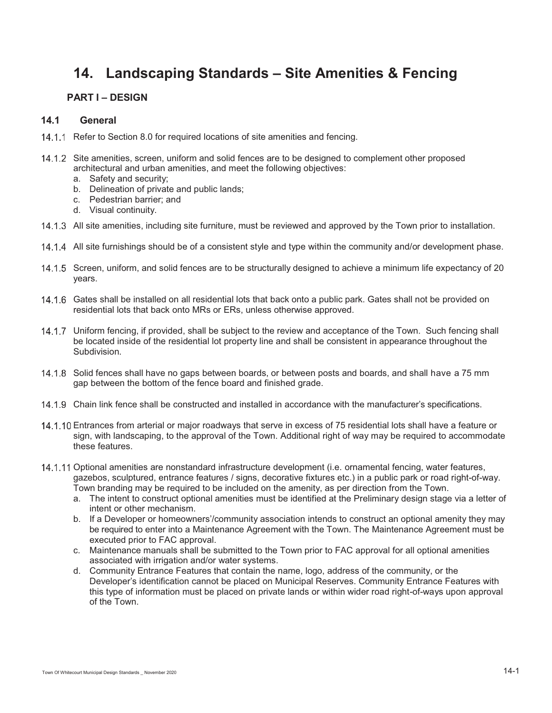# **14. Landscaping Standards – Site Amenities & Fencing**

# **PART I – DESIGN**

## **14.1 General**

- 14.1.1 Refer to Section 8.0 for required locations of site amenities and fencing.
- 14.1.2 Site amenities, screen, uniform and solid fences are to be designed to complement other proposed architectural and urban amenities, and meet the following objectives:
	- a. Safety and security;
	- b. Delineation of private and public lands;
	- c. Pedestrian barrier; and
	- d. Visual continuity.
- 14.1.3 All site amenities, including site furniture, must be reviewed and approved by the Town prior to installation.
- 14.1.4 All site furnishings should be of a consistent style and type within the community and/or development phase.
- 14.1.5 Screen, uniform, and solid fences are to be structurally designed to achieve a minimum life expectancy of 20 years.
- 14.1.6 Gates shall be installed on all residential lots that back onto a public park. Gates shall not be provided on residential lots that back onto MRs or ERs, unless otherwise approved.
- 14.1.7 Uniform fencing, if provided, shall be subject to the review and acceptance of the Town. Such fencing shall be located inside of the residential lot property line and shall be consistent in appearance throughout the Subdivision.
- 14.1.8 Solid fences shall have no gaps between boards, or between posts and boards, and shall have a 75 mm gap between the bottom of the fence board and finished grade.
- 14.1.9 Chain link fence shall be constructed and installed in accordance with the manufacturer's specifications.
- 14.1.10 Entrances from arterial or major roadways that serve in excess of 75 residential lots shall have a feature or sign, with landscaping, to the approval of the Town. Additional right of way may be required to accommodate these features.
- 14.1.11 Optional amenities are nonstandard infrastructure development (i.e. ornamental fencing, water features, gazebos, sculptured, entrance features / signs, decorative fixtures etc.) in a public park or road right-of-way. Town branding may be required to be included on the amenity, as per direction from the Town.
	- a. The intent to construct optional amenities must be identified at the Preliminary design stage via a letter of intent or other mechanism.
	- b. If a Developer or homeowners'/community association intends to construct an optional amenity they may be required to enter into a Maintenance Agreement with the Town. The Maintenance Agreement must be executed prior to FAC approval.
	- c. Maintenance manuals shall be submitted to the Town prior to FAC approval for all optional amenities associated with irrigation and/or water systems.
	- d. Community Entrance Features that contain the name, logo, address of the community, or the Developer's identification cannot be placed on Municipal Reserves. Community Entrance Features with this type of information must be placed on private lands or within wider road right-of-ways upon approval of the Town.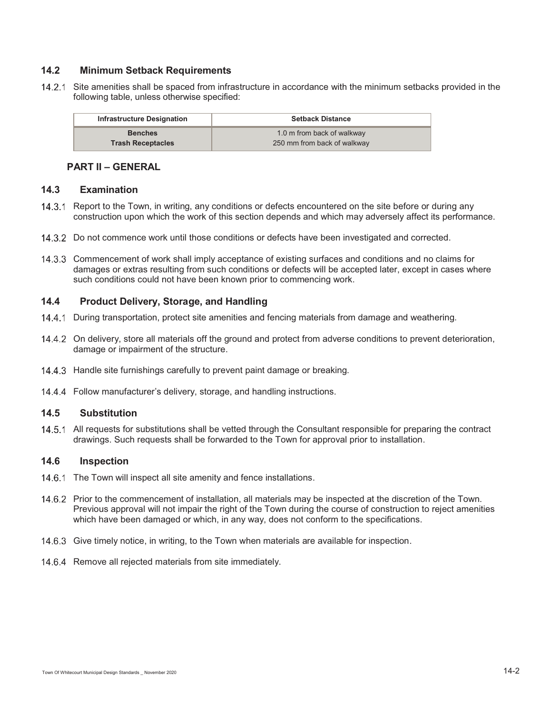# **14.2 Minimum Setback Requirements**

14.2.1 Site amenities shall be spaced from infrastructure in accordance with the minimum setbacks provided in the following table, unless otherwise specified:

| <b>Infrastructure Designation</b> | <b>Setback Distance</b>     |
|-----------------------------------|-----------------------------|
| <b>Benches</b>                    | 1.0 m from back of walkway  |
| <b>Trash Receptacles</b>          | 250 mm from back of walkway |

#### **PART II – GENERAL**

#### **14.3 Examination**

- 14.3.1 Report to the Town, in writing, any conditions or defects encountered on the site before or during any construction upon which the work of this section depends and which may adversely affect its performance.
- 14.3.2 Do not commence work until those conditions or defects have been investigated and corrected.
- Commencement of work shall imply acceptance of existing surfaces and conditions and no claims for damages or extras resulting from such conditions or defects will be accepted later, except in cases where such conditions could not have been known prior to commencing work.

#### **14.4 Product Delivery, Storage, and Handling**

- 14.4.1 During transportation, protect site amenities and fencing materials from damage and weathering.
- On delivery, store all materials off the ground and protect from adverse conditions to prevent deterioration, damage or impairment of the structure.
- 14.4.3 Handle site furnishings carefully to prevent paint damage or breaking.
- 14.4.4 Follow manufacturer's delivery, storage, and handling instructions.

### **14.5 Substitution**

14.5.1 All requests for substitutions shall be vetted through the Consultant responsible for preparing the contract drawings. Such requests shall be forwarded to the Town for approval prior to installation.

## **14.6 Inspection**

- 14.6.1 The Town will inspect all site amenity and fence installations.
- 14.6.2 Prior to the commencement of installation, all materials may be inspected at the discretion of the Town. Previous approval will not impair the right of the Town during the course of construction to reject amenities which have been damaged or which, in any way, does not conform to the specifications.
- 14.6.3 Give timely notice, in writing, to the Town when materials are available for inspection.
- 14.6.4 Remove all rejected materials from site immediately.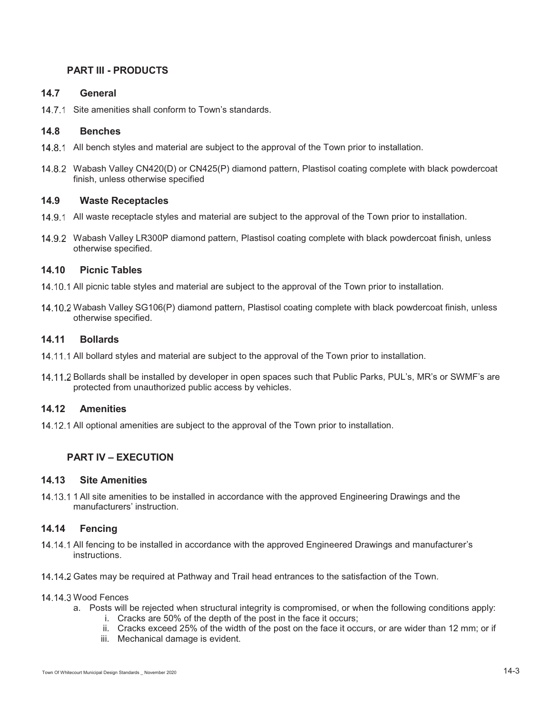# **PART III - PRODUCTS**

#### **14.7 General**

14.7.1 Site amenities shall conform to Town's standards.

## **14.8 Benches**

- 14.8.1 All bench styles and material are subject to the approval of the Town prior to installation.
- Wabash Valley CN420(D) or CN425(P) diamond pattern, Plastisol coating complete with black powdercoat finish, unless otherwise specified

#### **14.9 Waste Receptacles**

- 14.9.1 All waste receptacle styles and material are subject to the approval of the Town prior to installation.
- Wabash Valley LR300P diamond pattern, Plastisol coating complete with black powdercoat finish, unless otherwise specified.

#### **14.10 Picnic Tables**

- 14.10.1 All picnic table styles and material are subject to the approval of the Town prior to installation.
- 14.10.2 Wabash Valley SG106(P) diamond pattern, Plastisol coating complete with black powdercoat finish, unless otherwise specified.

#### **14.11 Bollards**

- 14.11.1 All bollard styles and material are subject to the approval of the Town prior to installation.
- 14.11.2 Bollards shall be installed by developer in open spaces such that Public Parks, PUL's, MR's or SWMF's are protected from unauthorized public access by vehicles.

## **14.12 Amenities**

14.12.1 All optional amenities are subject to the approval of the Town prior to installation.

# **PART IV – EXECUTION**

#### **14.13 Site Amenities**

14.13.1 1 All site amenities to be installed in accordance with the approved Engineering Drawings and the manufacturers' instruction.

## **14.14 Fencing**

- 14.14.1 All fencing to be installed in accordance with the approved Engineered Drawings and manufacturer's instructions.
- 14.14.2 Gates may be required at Pathway and Trail head entrances to the satisfaction of the Town.

#### 14.14.3 Wood Fences

- a. Posts will be rejected when structural integrity is compromised, or when the following conditions apply:
	- i. Cracks are 50% of the depth of the post in the face it occurs;
	- ii. Cracks exceed 25% of the width of the post on the face it occurs, or are wider than 12 mm; or if
	- iii. Mechanical damage is evident.